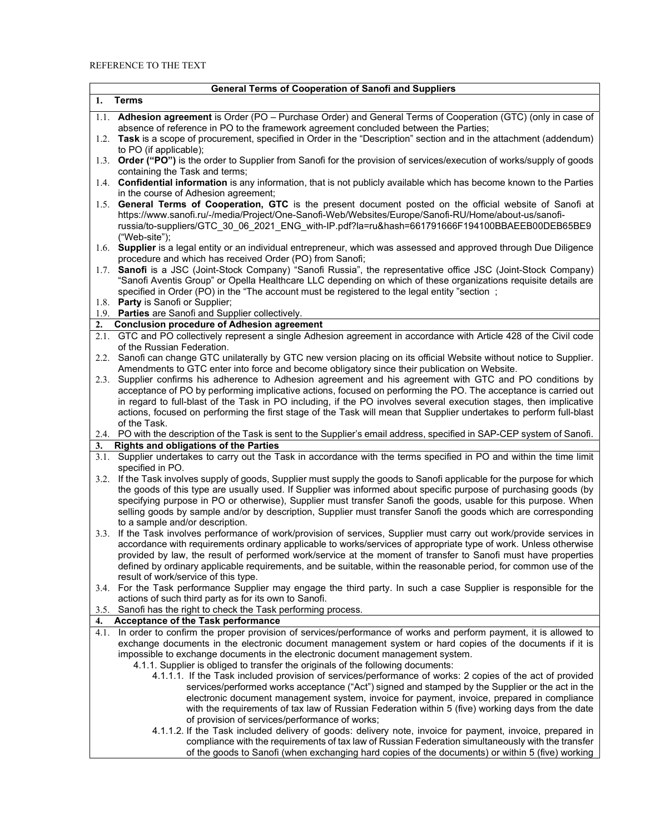## REFERENCE TO THE TEXT

|      | <b>General Terms of Cooperation of Sanofi and Suppliers</b>                                                                                                                                                                                                                                                                                                                                                                                                                                           |
|------|-------------------------------------------------------------------------------------------------------------------------------------------------------------------------------------------------------------------------------------------------------------------------------------------------------------------------------------------------------------------------------------------------------------------------------------------------------------------------------------------------------|
| 1.   | <b>Terms</b>                                                                                                                                                                                                                                                                                                                                                                                                                                                                                          |
|      | 1.1. Adhesion agreement is Order (PO - Purchase Order) and General Terms of Cooperation (GTC) (only in case of<br>absence of reference in PO to the framework agreement concluded between the Parties;                                                                                                                                                                                                                                                                                                |
|      | 1.2. Task is a scope of procurement, specified in Order in the "Description" section and in the attachment (addendum)<br>to PO (if applicable);                                                                                                                                                                                                                                                                                                                                                       |
|      | 1.3. Order ("PO") is the order to Supplier from Sanofi for the provision of services/execution of works/supply of goods<br>containing the Task and terms;                                                                                                                                                                                                                                                                                                                                             |
|      | 1.4. Confidential information is any information, that is not publicly available which has become known to the Parties<br>in the course of Adhesion agreement;                                                                                                                                                                                                                                                                                                                                        |
|      | 1.5. General Terms of Cooperation, GTC is the present document posted on the official website of Sanofi at<br>https://www.sanofi.ru/-/media/Project/One-Sanofi-Web/Websites/Europe/Sanofi-RU/Home/about-us/sanofi-<br>russia/to-suppliers/GTC_30_06_2021_ENG_with-IP.pdf?la=ru&hash=661791666F194100BBAEEB00DEB65BE9<br>("Web-site");                                                                                                                                                                 |
|      | 1.6. Supplier is a legal entity or an individual entrepreneur, which was assessed and approved through Due Diligence<br>procedure and which has received Order (PO) from Sanofi;                                                                                                                                                                                                                                                                                                                      |
|      | 1.7. Sanofi is a JSC (Joint-Stock Company) "Sanofi Russia", the representative office JSC (Joint-Stock Company)<br>"Sanofi Aventis Group" or Opella Healthcare LLC depending on which of these organizations requisite details are<br>specified in Order (PO) in the "The account must be registered to the legal entity "section;                                                                                                                                                                    |
|      | 1.8. Party is Sanofi or Supplier;<br>1.9. Parties are Sanofi and Supplier collectively.                                                                                                                                                                                                                                                                                                                                                                                                               |
| 2.   | <b>Conclusion procedure of Adhesion agreement</b>                                                                                                                                                                                                                                                                                                                                                                                                                                                     |
|      | 2.1. GTC and PO collectively represent a single Adhesion agreement in accordance with Article 428 of the Civil code<br>of the Russian Federation.                                                                                                                                                                                                                                                                                                                                                     |
|      | 2.2. Sanofi can change GTC unilaterally by GTC new version placing on its official Website without notice to Supplier.<br>Amendments to GTC enter into force and become obligatory since their publication on Website.                                                                                                                                                                                                                                                                                |
|      | 2.3. Supplier confirms his adherence to Adhesion agreement and his agreement with GTC and PO conditions by<br>acceptance of PO by performing implicative actions, focused on performing the PO. The acceptance is carried out<br>in regard to full-blast of the Task in PO including, if the PO involves several execution stages, then implicative                                                                                                                                                   |
|      | actions, focused on performing the first stage of the Task will mean that Supplier undertakes to perform full-blast<br>of the Task.                                                                                                                                                                                                                                                                                                                                                                   |
| 3.   | 2.4. PO with the description of the Task is sent to the Supplier's email address, specified in SAP-CEP system of Sanofi.<br><b>Rights and obligations of the Parties</b>                                                                                                                                                                                                                                                                                                                              |
|      | 3.1. Supplier undertakes to carry out the Task in accordance with the terms specified in PO and within the time limit<br>specified in PO.                                                                                                                                                                                                                                                                                                                                                             |
|      | 3.2. If the Task involves supply of goods, Supplier must supply the goods to Sanofi applicable for the purpose for which<br>the goods of this type are usually used. If Supplier was informed about specific purpose of purchasing goods (by<br>specifying purpose in PO or otherwise), Supplier must transfer Sanofi the goods, usable for this purpose. When<br>selling goods by sample and/or by description, Supplier must transfer Sanofi the goods which are corresponding                      |
|      | to a sample and/or description.<br>3.3. If the Task involves performance of work/provision of services, Supplier must carry out work/provide services in                                                                                                                                                                                                                                                                                                                                              |
|      | accordance with requirements ordinary applicable to works/services of appropriate type of work. Unless otherwise<br>provided by law, the result of performed work/service at the moment of transfer to Sanofi must have properties<br>defined by ordinary applicable requirements, and be suitable, within the reasonable period, for common use of the<br>result of work/service of this type.                                                                                                       |
|      | 3.4. For the Task performance Supplier may engage the third party. In such a case Supplier is responsible for the<br>actions of such third party as for its own to Sanofi.                                                                                                                                                                                                                                                                                                                            |
|      | 3.5. Sanofi has the right to check the Task performing process.                                                                                                                                                                                                                                                                                                                                                                                                                                       |
| 4.   | Acceptance of the Task performance                                                                                                                                                                                                                                                                                                                                                                                                                                                                    |
| 4.1. | In order to confirm the proper provision of services/performance of works and perform payment, it is allowed to<br>exchange documents in the electronic document management system or hard copies of the documents if it is<br>impossible to exchange documents in the electronic document management system.                                                                                                                                                                                         |
|      | 4.1.1. Supplier is obliged to transfer the originals of the following documents:<br>4.1.1.1. If the Task included provision of services/performance of works: 2 copies of the act of provided<br>services/performed works acceptance ("Act") signed and stamped by the Supplier or the act in the<br>electronic document management system, invoice for payment, invoice, prepared in compliance<br>with the requirements of tax law of Russian Federation within 5 (five) working days from the date |
|      | of provision of services/performance of works;<br>4.1.1.2. If the Task included delivery of goods: delivery note, invoice for payment, invoice, prepared in<br>compliance with the requirements of tax law of Russian Federation simultaneously with the transfer<br>of the goods to Sanofi (when exchanging hard copies of the documents) or within 5 (five) working                                                                                                                                 |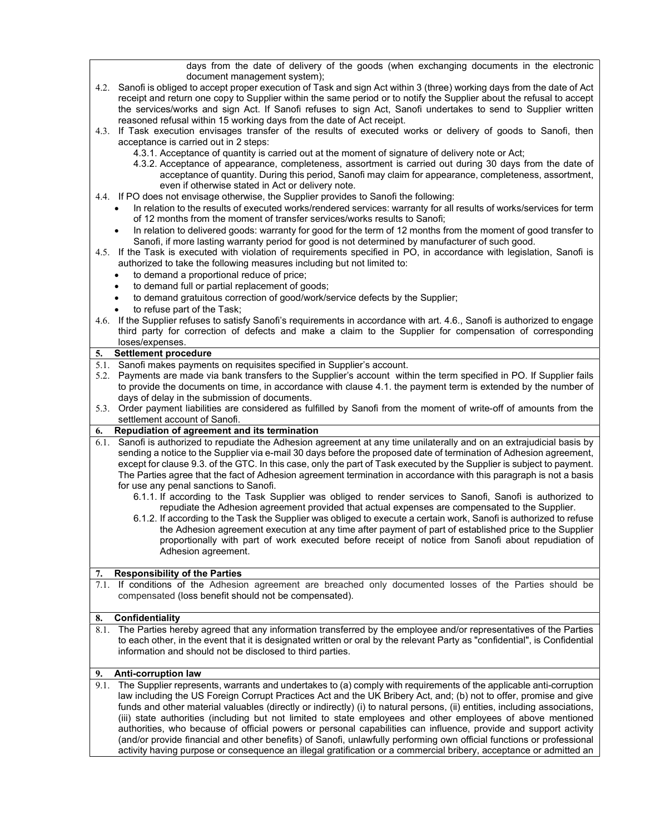days from the date of delivery of the goods (when exchanging documents in the electronic document management system);

- 4.2. Sanofi is obliged to accept proper execution of Task and sign Act within 3 (three) working days from the date of Act receipt and return one copy to Supplier within the same period or to notify the Supplier about the refusal to accept the services/works and sign Act. If Sanofi refuses to sign Act, Sanofi undertakes to send to Supplier written reasoned refusal within 15 working days from the date of Act receipt.
- 4.3. If Task execution envisages transfer of the results of executed works or delivery of goods to Sanofi, then acceptance is carried out in 2 steps:
	- 4.3.1. Acceptance of quantity is carried out at the moment of signature of delivery note or Act;
	- 4.3.2. Acceptance of appearance, completeness, assortment is carried out during 30 days from the date of acceptance of quantity. During this period, Sanofi may claim for appearance, completeness, assortment, even if otherwise stated in Act or delivery note.
- 4.4. If PO does not envisage otherwise, the Supplier provides to Sanofi the following:
	- In relation to the results of executed works/rendered services: warranty for all results of works/services for term of 12 months from the moment of transfer services/works results to Sanofi;
	- In relation to delivered goods: warranty for good for the term of 12 months from the moment of good transfer to Sanofi, if more lasting warranty period for good is not determined by manufacturer of such good.
- 4.5. If the Task is executed with violation of requirements specified in PO, in accordance with legislation, Sanofi is authorized to take the following measures including but not limited to:
	- to demand a proportional reduce of price;
	- to demand full or partial replacement of goods;
	- to demand gratuitous correction of good/work/service defects by the Supplier;
	- to refuse part of the Task;
- 4.6. If the Supplier refuses to satisfy Sanofi's requirements in accordance with art. 4.6., Sanofi is authorized to engage third party for correction of defects and make a claim to the Supplier for compensation of corresponding loses/expenses.

#### 5. Settlement procedure

- 5.1. Sanofi makes payments on requisites specified in Supplier's account.
- 5.2. Payments are made via bank transfers to the Supplier's account within the term specified in PO. If Supplier fails to provide the documents on time, in accordance with clause 4.1. the payment term is extended by the number of days of delay in the submission of documents.
- 5.3. Order payment liabilities are considered as fulfilled by Sanofi from the moment of write-off of amounts from the settlement account of Sanofi.

#### 6. Repudiation of agreement and its termination

- 6.1. Sanofi is authorized to repudiate the Adhesion agreement at any time unilaterally and on an extrajudicial basis by sending a notice to the Supplier via e-mail 30 days before the proposed date of termination of Adhesion agreement, except for clause 9.3. of the GTC. In this case, only the part of Task executed by the Supplier is subject to payment. The Parties agree that the fact of Adhesion agreement termination in accordance with this paragraph is not a basis for use any penal sanctions to Sanofi.
	- 6.1.1. If according to the Task Supplier was obliged to render services to Sanofi, Sanofi is authorized to repudiate the Adhesion agreement provided that actual expenses are compensated to the Supplier.
	- 6.1.2. If according to the Task the Supplier was obliged to execute a certain work, Sanofi is authorized to refuse the Adhesion agreement execution at any time after payment of part of established price to the Supplier proportionally with part of work executed before receipt of notice from Sanofi about repudiation of Adhesion agreement.

#### 7. Responsibility of the Parties

7.1. If conditions of the Adhesion agreement are breached only documented losses of the Parties should be compensated (loss benefit should not be compensated).

### 8. Confidentiality

8.1. The Parties hereby agreed that any information transferred by the employee and/or representatives of the Parties to each other, in the event that it is designated written or oral by the relevant Party as "confidential", is Confidential information and should not be disclosed to third parties.

# 9. Anti-corruption law

9.1. The Supplier represents, warrants and undertakes to (a) comply with requirements of the applicable anti-corruption law including the US Foreign Corrupt Practices Act and the UK Bribery Act, and; (b) not to offer, promise and give funds and other material valuables (directly or indirectly) (i) to natural persons, (ii) entities, including associations, (iii) state authorities (including but not limited to state employees and other employees of above mentioned authorities, who because of official powers or personal capabilities can influence, provide and support activity (and/or provide financial and other benefits) of Sanofi, unlawfully performing own official functions or professional activity having purpose or consequence an illegal gratification or a commercial bribery, acceptance or admitted an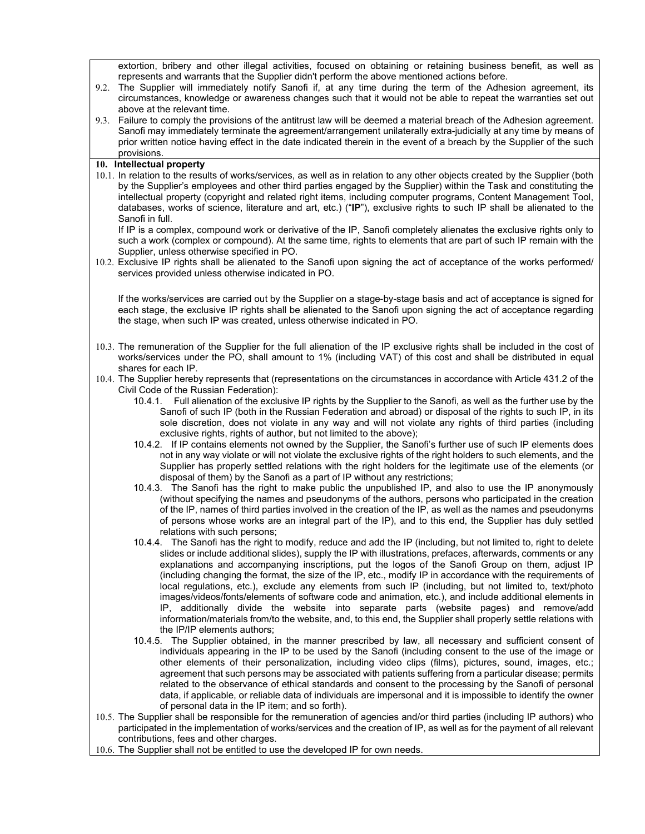extortion, bribery and other illegal activities, focused on obtaining or retaining business benefit, as well as represents and warrants that the Supplier didn't perform the above mentioned actions before.

- 9.2. The Supplier will immediately notify Sanofi if, at any time during the term of the Adhesion agreement, its circumstances, knowledge or awareness changes such that it would not be able to repeat the warranties set out above at the relevant time.
- 9.3. Failure to comply the provisions of the antitrust law will be deemed a material breach of the Adhesion agreement. Sanofi may immediately terminate the agreement/arrangement unilaterally extra-judicially at any time by means of prior written notice having effect in the date indicated therein in the event of a breach by the Supplier of the such provisions.

### 10. Intellectual property

10.1. In relation to the results of works/services, as well as in relation to any other objects created by the Supplier (both by the Supplier's employees and other third parties engaged by the Supplier) within the Task and constituting the intellectual property (copyright and related right items, including computer programs, Content Management Tool, databases, works of science, literature and art, etc.) ("IP"), exclusive rights to such IP shall be alienated to the Sanofi in full.

If IP is a complex, compound work or derivative of the IP, Sanofi completely alienates the exclusive rights only to such a work (complex or compound). At the same time, rights to elements that are part of such IP remain with the Supplier, unless otherwise specified in PO.

10.2. Exclusive IP rights shall be alienated to the Sanofi upon signing the act of acceptance of the works performed/ services provided unless otherwise indicated in PO.

If the works/services are carried out by the Supplier on a stage-by-stage basis and act of acceptance is signed for each stage, the exclusive IP rights shall be alienated to the Sanofi upon signing the act of acceptance regarding the stage, when such IP was created, unless otherwise indicated in PO.

- 10.3. The remuneration of the Supplier for the full alienation of the IP exclusive rights shall be included in the cost of works/services under the PO, shall amount to 1% (including VAT) of this cost and shall be distributed in equal shares for each IP.
- 10.4. The Supplier hereby represents that (representations on the circumstances in accordance with Article 431.2 of the Civil Code of the Russian Federation):
	- 10.4.1. Full alienation of the exclusive IP rights by the Supplier to the Sanofi, as well as the further use by the Sanofi of such IP (both in the Russian Federation and abroad) or disposal of the rights to such IP, in its sole discretion, does not violate in any way and will not violate any rights of third parties (including exclusive rights, rights of author, but not limited to the above);
	- 10.4.2. If IP contains elements not owned by the Supplier, the Sanofi's further use of such IP elements does not in any way violate or will not violate the exclusive rights of the right holders to such elements, and the Supplier has properly settled relations with the right holders for the legitimate use of the elements (or disposal of them) by the Sanofi as a part of IP without any restrictions;
	- 10.4.3. The Sanofi has the right to make public the unpublished IP, and also to use the IP anonymously (without specifying the names and pseudonyms of the authors, persons who participated in the creation of the IP, names of third parties involved in the creation of the IP, as well as the names and pseudonyms of persons whose works are an integral part of the IP), and to this end, the Supplier has duly settled relations with such persons;
	- 10.4.4. The Sanofi has the right to modify, reduce and add the IP (including, but not limited to, right to delete slides or include additional slides), supply the IP with illustrations, prefaces, afterwards, comments or any explanations and accompanying inscriptions, put the logos of the Sanofi Group on them, adjust IP (including changing the format, the size of the IP, etc., modify IP in accordance with the requirements of local regulations, etc.), exclude any elements from such IP (including, but not limited to, text/photo images/videos/fonts/elements of software code and animation, etc.), and include additional elements in IP, additionally divide the website into separate parts (website pages) and remove/add information/materials from/to the website, and, to this end, the Supplier shall properly settle relations with the IP/IP elements authors;
	- 10.4.5. The Supplier obtained, in the manner prescribed by law, all necessary and sufficient consent of individuals appearing in the IP to be used by the Sanofi (including consent to the use of the image or other elements of their personalization, including video clips (films), pictures, sound, images, etc.; agreement that such persons may be associated with patients suffering from a particular disease; permits related to the observance of ethical standards and consent to the processing by the Sanofi of personal data, if applicable, or reliable data of individuals are impersonal and it is impossible to identify the owner of personal data in the IP item; and so forth).
- 10.5. The Supplier shall be responsible for the remuneration of agencies and/or third parties (including IP authors) who participated in the implementation of works/services and the creation of IP, as well as for the payment of all relevant contributions, fees and other charges.
- 10.6. The Supplier shall not be entitled to use the developed IP for own needs.